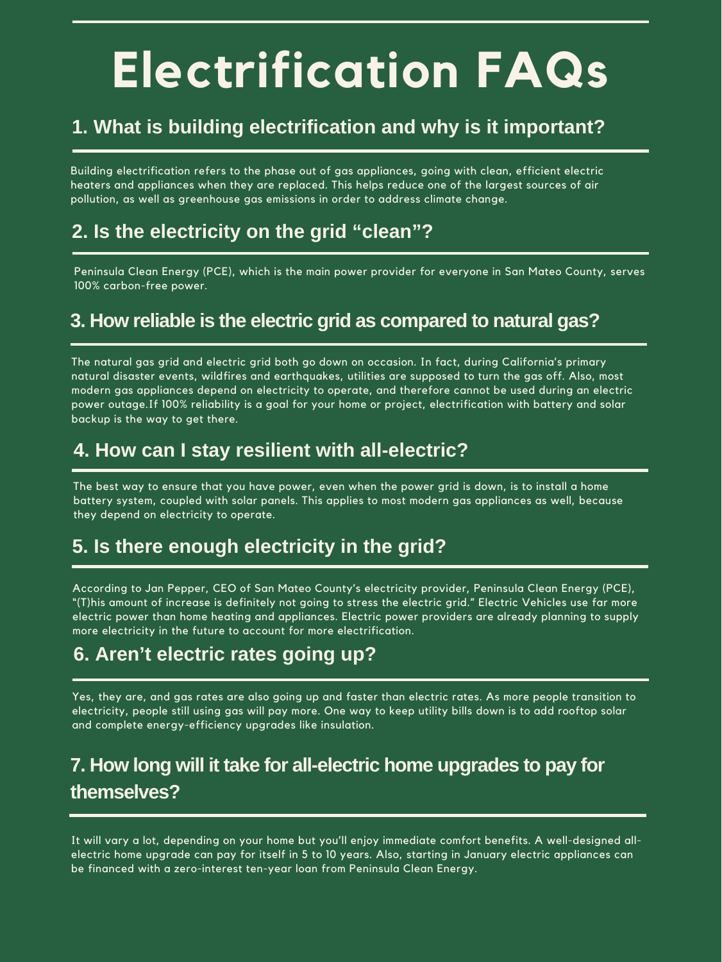# **Electrification FAQs**

Building electrification refers to the phase out of gas appliances, going with clean, efficient electric heaters and appliances when they are replaced. This helps reduce one of the largest sources of air pollution, as well as greenhouse gas emissions in order to address climate change.

# **1. What is building electrification and why is it important?**

The natural gas grid and electric grid both go down on occasion. In fact, during California's primary natural disaster events, wildfires and earthquakes, utilities are supposed to turn the gas off. Also, most modern gas appliances depend on electricity to operate, and therefore cannot be used during an electric power outage.If 100% reliability is a goal for your home or project, electrification with battery and solar backup is the way to get there.

# **3. How reliable is the electric grid as compared to natural gas?**

The best way to ensure that you have power, even when the power grid is down, is to install a home battery system, coupled with solar panels. This applies to most modern gas appliances as well, because they depend on electricity to operate.

# **4. How can I stay resilient with all-electric?**

According to Jan Pepper, CEO of San Mateo County's electricity provider, Peninsula Clean Energy (PCE), "(T)his amount of increase is definitely not going to stress the electric grid." Electric Vehicles use far more electric power than home heating and appliances. Electric power providers are already planning to supply more electricity in the future to account for more electrification.

# **5. Is there enough electricity in the grid?**

Yes, they are, and gas rates are also going up and faster than electric rates. As more people transition to electricity, people still using gas will pay more. One way to keep utility bills down is to add rooftop solar and complete energy-efficiency upgrades like insulation.

# **6. Aren't electric rates going up?**

It will vary a lot, depending on your home but you'll enjoy immediate comfort benefits. A well-designed allelectric home upgrade can pay for itself in 5 to 10 years. Also, starting in January electric appliances can be financed with a zero-interest ten-year loan from Peninsula Clean Energy.

# **7. How long will it take for all-electric home upgrades to pay for themselves?**

Peninsula Clean Energy (PCE), which is the main power provider for everyone in San Mateo County, serves 100% carbon-free power.

# **2. Is the electricity on the grid "clean"?**